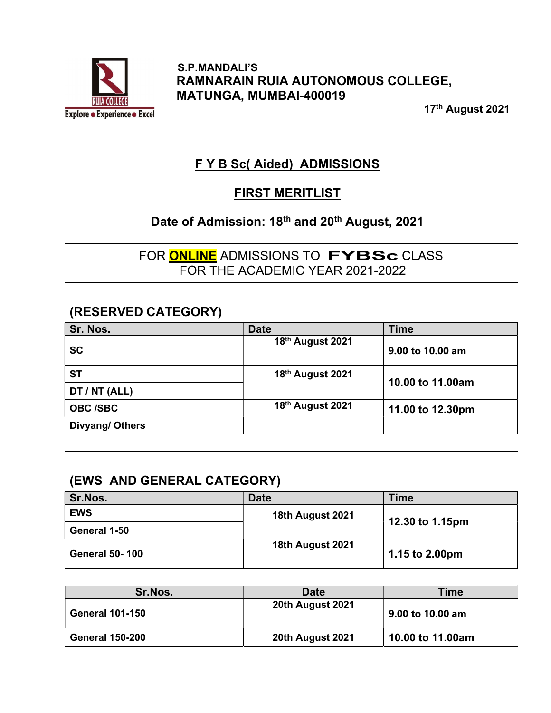

 S.P.MANDALI'S RAMNARAIN RUIA AUTONOMOUS COLLEGE, MATUNGA, MUMBAI-400019

17th August 2021

# F Y B Sc( Aided) ADMISSIONS

# FIRST MERITLIST

# Date of Admission: 18<sup>th</sup> and 20<sup>th</sup> August, 2021

FOR **ONLINE** ADMISSIONS TO **FYBSc** CLASS FOR THE ACADEMIC YEAR 2021-2022

## (RESERVED CATEGORY)

| Sr. Nos.        | <b>Date</b>      | <b>Time</b>      |
|-----------------|------------------|------------------|
| <b>SC</b>       | 18th August 2021 | 9.00 to 10.00 am |
| <b>ST</b>       | 18th August 2021 | 10.00 to 11.00am |
| DT / NT (ALL)   |                  |                  |
| <b>OBC /SBC</b> | 18th August 2021 | 11.00 to 12.30pm |
| Divyang/ Others |                  |                  |

## (EWS AND GENERAL CATEGORY)

| Sr.Nos.               | <b>Date</b>      | Time            |
|-----------------------|------------------|-----------------|
| <b>EWS</b>            | 18th August 2021 |                 |
| General 1-50          |                  | 12.30 to 1.15pm |
| <b>General 50-100</b> | 18th August 2021 | 1.15 to 2.00pm  |

| Sr.Nos.                | <b>Date</b>      | <b>Time</b>      |
|------------------------|------------------|------------------|
| <b>General 101-150</b> | 20th August 2021 | 9.00 to 10.00 am |
| <b>General 150-200</b> | 20th August 2021 | 10.00 to 11.00am |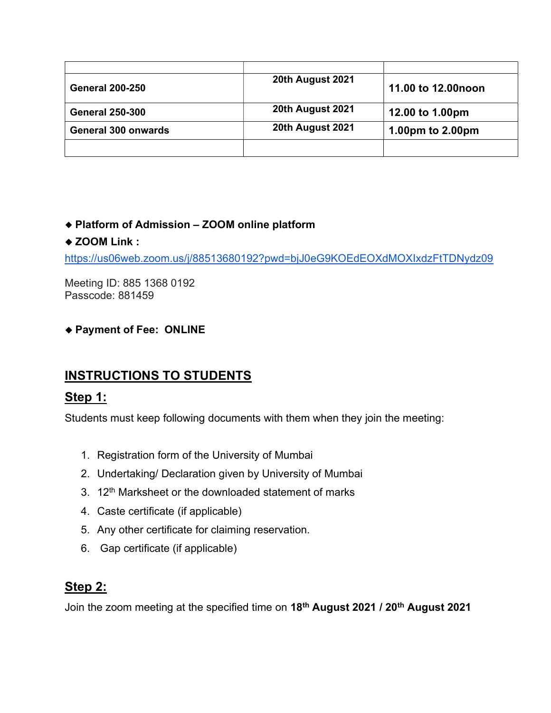| <b>General 200-250</b>     | 20th August 2021 | 11.00 to 12.00 noon |
|----------------------------|------------------|---------------------|
| <b>General 250-300</b>     | 20th August 2021 | 12.00 to 1.00pm     |
| <b>General 300 onwards</b> | 20th August 2021 | 1.00pm to 2.00pm    |
|                            |                  |                     |

#### Platform of Admission – ZOOM online platform

#### ◆ ZOOM Link :

https://us06web.zoom.us/j/88513680192?pwd=bjJ0eG9KOEdEOXdMOXIxdzFtTDNydz09

Meeting ID: 885 1368 0192 Passcode: 881459

#### Payment of Fee: ONLINE

# INSTRUCTIONS TO STUDENTS

## Step 1:

Students must keep following documents with them when they join the meeting:

- 1. Registration form of the University of Mumbai
- 2. Undertaking/ Declaration given by University of Mumbai
- 3. 12<sup>th</sup> Marksheet or the downloaded statement of marks
- 4. Caste certificate (if applicable)
- 5. Any other certificate for claiming reservation.
- 6. Gap certificate (if applicable)

## Step 2:

Join the zoom meeting at the specified time on 18<sup>th</sup> August 2021 / 20<sup>th</sup> August 2021